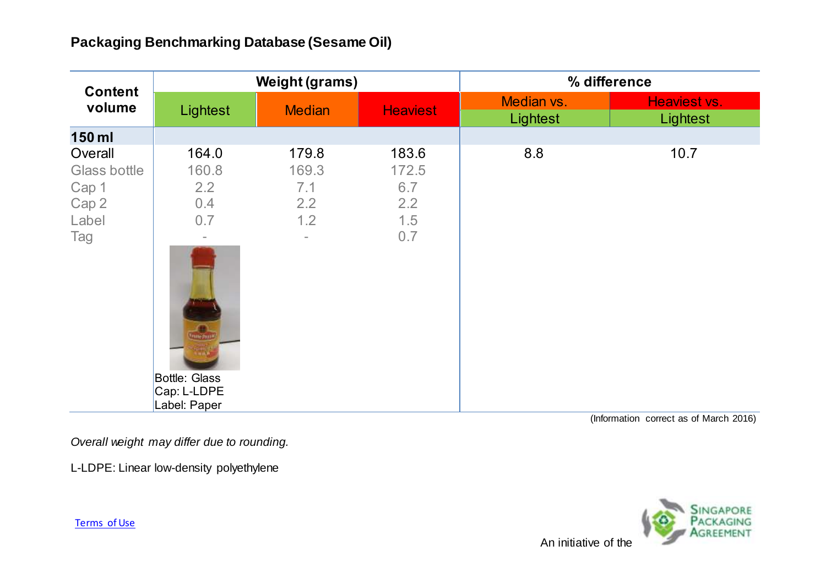## **Packaging Benchmarking Database (Sesame Oil)**

| <b>Content</b><br>volume                                  | <b>Weight (grams)</b>                                                                                       |                                                                 |                                            | % difference           |                                        |
|-----------------------------------------------------------|-------------------------------------------------------------------------------------------------------------|-----------------------------------------------------------------|--------------------------------------------|------------------------|----------------------------------------|
|                                                           | Lightest                                                                                                    | <b>Median</b>                                                   | <b>Heaviest</b>                            | Median vs.<br>Lightest | Heaviest vs.<br>Lightest               |
| 150 ml                                                    |                                                                                                             |                                                                 |                                            |                        |                                        |
| Overall<br>Glass bottle<br>Cap 1<br>Cap 2<br>Label<br>Tag | 164.0<br>160.8<br>2.2<br>0.4<br>0.7<br><b>Thesia</b><br><b>Bottle: Glass</b><br>Cap: L-LDPE<br>Label: Paper | 179.8<br>169.3<br>7.1<br>2.2<br>1.2<br>$\overline{\phantom{0}}$ | 183.6<br>172.5<br>6.7<br>2.2<br>1.5<br>0.7 | 8.8                    | 10.7                                   |
|                                                           |                                                                                                             |                                                                 |                                            |                        | (Information correct as of March 2016) |

*Overall weight may differ due to rounding.*

L-LDPE: Linear low-density polyethylene

**MENT** An initiative of the

[Terms of Use](http://www.nea.gov.sg/terms-of-use/)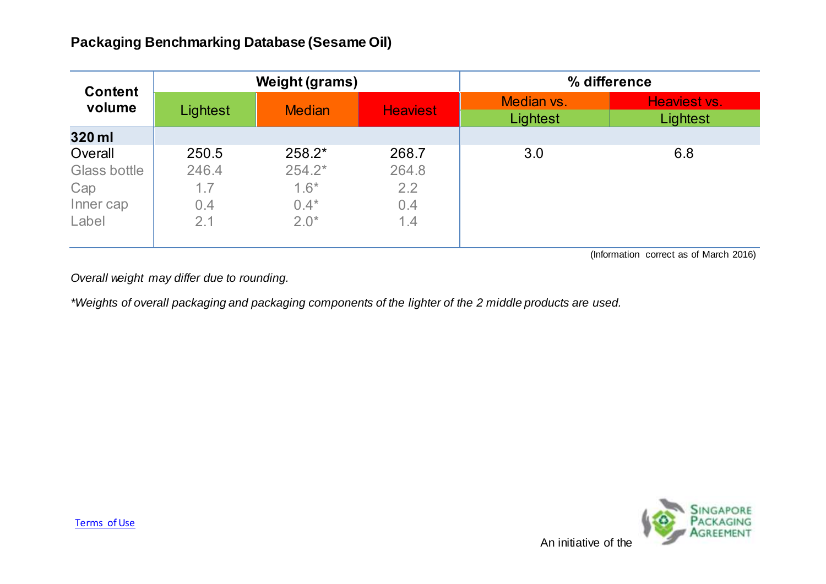| <b>Content</b><br>volume | <b>Weight (grams)</b> |               |                 | % difference           |                          |
|--------------------------|-----------------------|---------------|-----------------|------------------------|--------------------------|
|                          | Lightest              | <b>Median</b> | <b>Heaviest</b> | Median vs.<br>Lightest | Heaviest vs.<br>Lightest |
| 320 ml                   |                       |               |                 |                        |                          |
| Overall                  | 250.5                 | 258.2*        | 268.7           | 3.0                    | 6.8                      |
| Glass bottle             | 246.4                 | $254.2*$      | 264.8           |                        |                          |
| Cap                      | 1.7                   | $1.6*$        | 2.2             |                        |                          |
| Inner cap                | 0.4                   | $0.4*$        | 0.4             |                        |                          |
| Label                    | 2.1                   | $2.0*$        | 1.4             |                        |                          |

(Information correct as of March 2016)

*Overall weight may differ due to rounding.*

*\*Weights of overall packaging and packaging components of the lighter of the 2 middle products are used.*